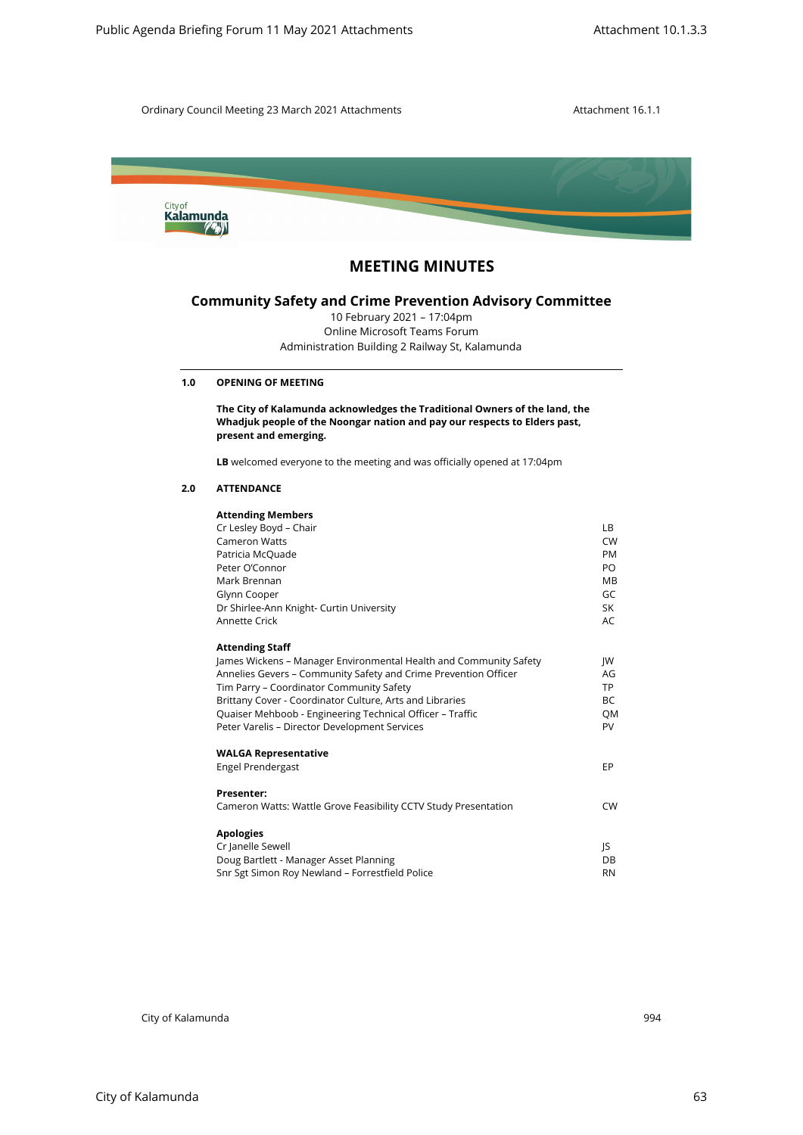



# **MEETING MINUTES**

# **Community Safety and Crime Prevention Advisory Committee**

# **1.0 OPENING OF MEETING**

## **2.0 ATTENDANCE**

| City of<br>Kalamunda |                                                                                                                                                                                  |                 |
|----------------------|----------------------------------------------------------------------------------------------------------------------------------------------------------------------------------|-----------------|
|                      | <b>MEETING MINUTES</b>                                                                                                                                                           |                 |
|                      | <b>Community Safety and Crime Prevention Advisory Committee</b><br>10 February 2021 - 17:04pm<br>Online Microsoft Teams Forum<br>Administration Building 2 Railway St, Kalamunda |                 |
| 1.0                  | <b>OPENING OF MEETING</b>                                                                                                                                                        |                 |
|                      | The City of Kalamunda acknowledges the Traditional Owners of the land, the<br>Whadjuk people of the Noongar nation and pay our respects to Elders past,<br>present and emerging. |                 |
|                      | LB welcomed everyone to the meeting and was officially opened at 17:04pm                                                                                                         |                 |
| 2.0                  | <b>ATTENDANCE</b>                                                                                                                                                                |                 |
|                      | <b>Attending Members</b>                                                                                                                                                         |                 |
|                      | Cr Lesley Boyd - Chair<br><b>Cameron Watts</b>                                                                                                                                   | LВ<br><b>CW</b> |
|                      | Patricia McQuade                                                                                                                                                                 | PM              |
|                      | Peter O'Connor<br>Mark Brennan                                                                                                                                                   | PO<br>MВ        |
|                      | Glynn Cooper                                                                                                                                                                     | GC              |
|                      | Dr Shirlee-Ann Knight- Curtin University<br>Annette Crick                                                                                                                        | SK<br>AC        |
|                      |                                                                                                                                                                                  |                 |
|                      | <b>Attending Staff</b><br>James Wickens - Manager Environmental Health and Community Safety                                                                                      | JW              |
|                      | Annelies Gevers - Community Safety and Crime Prevention Officer                                                                                                                  | AG              |
|                      | Tim Parry - Coordinator Community Safety                                                                                                                                         | TP              |
|                      | Brittany Cover - Coordinator Culture, Arts and Libraries<br>Quaiser Mehboob - Engineering Technical Officer - Traffic                                                            | BC<br>QM        |
|                      | Peter Varelis - Director Development Services                                                                                                                                    | PV              |
|                      | <b>WALGA Representative</b>                                                                                                                                                      |                 |
|                      | Engel Prendergast                                                                                                                                                                | EP              |
|                      | Presenter:                                                                                                                                                                       |                 |
|                      | Cameron Watts: Wattle Grove Feasibility CCTV Study Presentation                                                                                                                  | <b>CW</b>       |
|                      | <b>Apologies</b>                                                                                                                                                                 |                 |
|                      | Cr Janelle Sewell                                                                                                                                                                | JS              |
|                      | Doug Bartlett - Manager Asset Planning<br>Snr Sgt Simon Roy Newland - Forrestfield Police                                                                                        | DB<br><b>RN</b> |
|                      |                                                                                                                                                                                  |                 |
|                      |                                                                                                                                                                                  |                 |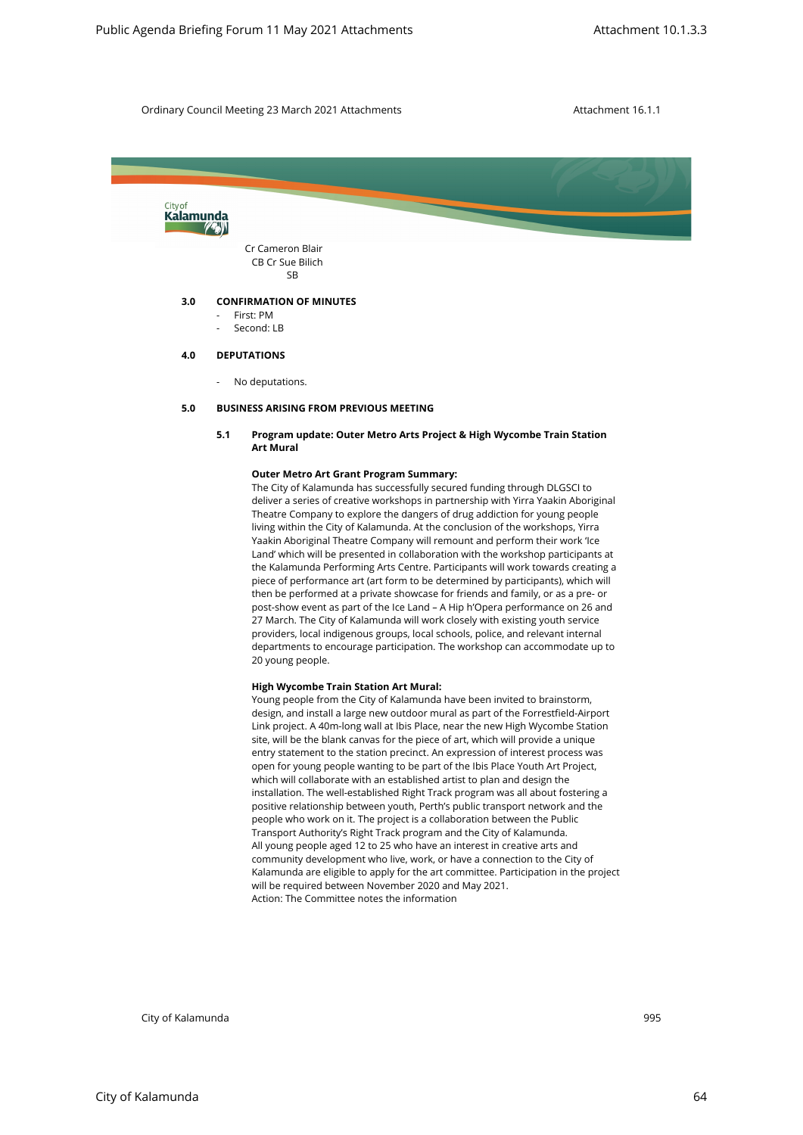

#### **5.0 BUSINESS ARISING FROM PREVIOUS MEETING**

# **5.1 Program update: Outer Metro Arts Project & High Wycombe Train Station Art Mural**

#### **Outer Metro Art Grant Program Summary:**

The City of Kalamunda has successfully secured funding through DLGSCI to deliver a series of creative workshops in partnership with Yirra Yaakin Aboriginal Theatre Company to explore the dangers of drug addiction for young people living within the City of Kalamunda. At the conclusion of the workshops, Yirra Yaakin Aboriginal Theatre Company will remount and perform their work 'Ice Land' which will be presented in collaboration with the workshop participants at the Kalamunda Performing Arts Centre. Participants will work towards creating a piece of performance art (art form to be determined by participants), which will then be performed at a private showcase for friends and family, or as a pre- or post-show event as part of the Ice Land – A Hip h'Opera performance on 26 and 27 March. The City of Kalamunda will work closely with existing youth service providers, local indigenous groups, local schools, police, and relevant internal departments to encourage participation. The workshop can accommodate up to 20 young people.

#### **High Wycombe Train Station Art Mural:**

Young people from the City of Kalamunda have been invited to brainstorm, design, and install a large new outdoor mural as part of the Forrestfield-Airport Link project. A 40m-long wall at Ibis Place, near the new High Wycombe Station site, will be the blank canvas for the piece of art, which will provide a unique entry statement to the station precinct. An expression of interest process was open for young people wanting to be part of the Ibis Place Youth Art Project, which will collaborate with an established artist to plan and design the installation. The well-established Right Track program was all about fostering a positive relationship between youth, Perth's public transport network and the people who work on it. The project is a collaboration between the Public Transport Authority's Right Track program and the City of Kalamunda. All young people aged 12 to 25 who have an interest in creative arts and community development who live, work, or have a connection to the City of Kalamunda are eligible to apply for the art committee. Participation in the project will be required between November 2020 and May 2021. Action: The Committee notes the information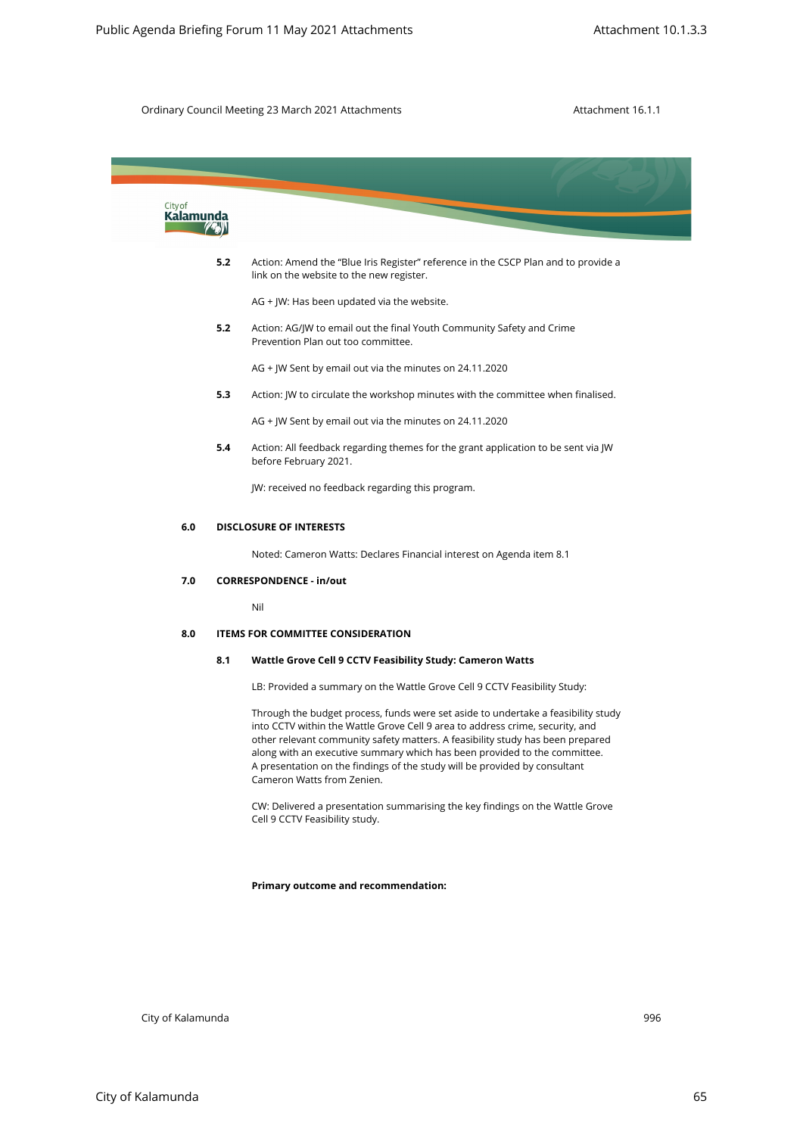| City of<br>Kalamunda |     |                                                                                                                                                                                                                                                                                                                                                                                                                                               |
|----------------------|-----|-----------------------------------------------------------------------------------------------------------------------------------------------------------------------------------------------------------------------------------------------------------------------------------------------------------------------------------------------------------------------------------------------------------------------------------------------|
|                      | 5.2 | Action: Amend the "Blue Iris Register" reference in the CSCP Plan and to provide a<br>link on the website to the new register.                                                                                                                                                                                                                                                                                                                |
|                      |     | AG + JW: Has been updated via the website.                                                                                                                                                                                                                                                                                                                                                                                                    |
|                      | 5.2 | Action: AG/JW to email out the final Youth Community Safety and Crime<br>Prevention Plan out too committee.                                                                                                                                                                                                                                                                                                                                   |
|                      |     | AG + JW Sent by email out via the minutes on 24.11.2020                                                                                                                                                                                                                                                                                                                                                                                       |
|                      | 5.3 | Action: JW to circulate the workshop minutes with the committee when finalised.                                                                                                                                                                                                                                                                                                                                                               |
|                      |     | AG + JW Sent by email out via the minutes on 24.11.2020                                                                                                                                                                                                                                                                                                                                                                                       |
|                      | 5.4 | Action: All feedback regarding themes for the grant application to be sent via JW<br>before February 2021.                                                                                                                                                                                                                                                                                                                                    |
|                      |     | JW: received no feedback regarding this program.                                                                                                                                                                                                                                                                                                                                                                                              |
| 6.0                  |     | <b>DISCLOSURE OF INTERESTS</b>                                                                                                                                                                                                                                                                                                                                                                                                                |
|                      |     | Noted: Cameron Watts: Declares Financial interest on Agenda item 8.1                                                                                                                                                                                                                                                                                                                                                                          |
| 7.0                  |     | <b>CORRESPONDENCE - in/out</b>                                                                                                                                                                                                                                                                                                                                                                                                                |
|                      |     | Nil                                                                                                                                                                                                                                                                                                                                                                                                                                           |
| 8.0                  |     | <b>ITEMS FOR COMMITTEE CONSIDERATION</b>                                                                                                                                                                                                                                                                                                                                                                                                      |
|                      | 8.1 | Wattle Grove Cell 9 CCTV Feasibility Study: Cameron Watts                                                                                                                                                                                                                                                                                                                                                                                     |
|                      |     | LB: Provided a summary on the Wattle Grove Cell 9 CCTV Feasibility Study:                                                                                                                                                                                                                                                                                                                                                                     |
|                      |     | Through the budget process, funds were set aside to undertake a feasibility study<br>into CCTV within the Wattle Grove Cell 9 area to address crime, security, and<br>other relevant community safety matters. A feasibility study has been prepared<br>along with an executive summary which has been provided to the committee.<br>A presentation on the findings of the study will be provided by consultant<br>Cameron Watts from Zenien. |
|                      |     | CW: Delivered a presentation summarising the key findings on the Wattle Grove<br>Cell 9 CCTV Feasibility study.                                                                                                                                                                                                                                                                                                                               |
|                      |     | Primary outcome and recommendation:                                                                                                                                                                                                                                                                                                                                                                                                           |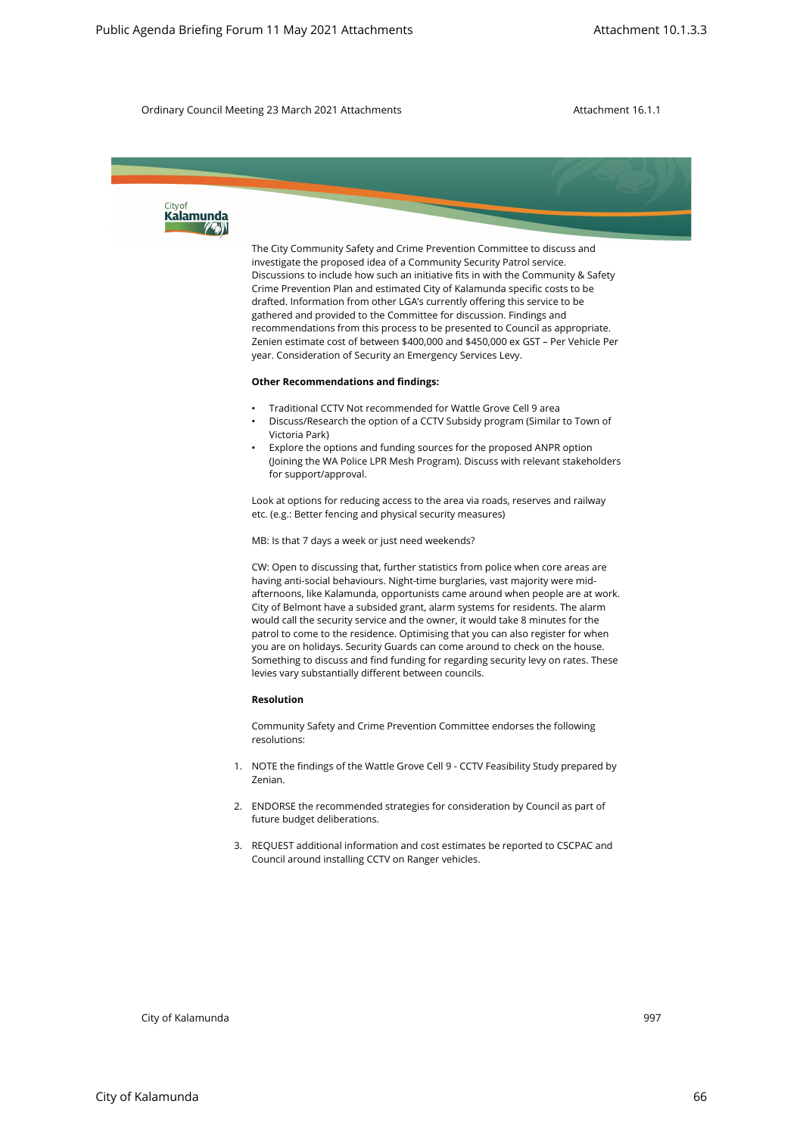The City Community Safety and Crime Prevention Committee to discuss and investigate the proposed idea of a Community Security Patrol service. Discussions to include how such an initiative fits in with the Community & Safety Crime Prevention Plan and estimated City of Kalamunda specific costs to be drafted. Information from other LGA's currently offering this service to be gathered and provided to the Committee for discussion. Findings and recommendations from this process to be presented to Council as appropriate. Zenien estimate cost of between \$400,000 and \$450,000 ex GST – Per Vehicle Per year. Consideration of Security an Emergency Services Levy. City of Kalamunda 997 Public Agenda Britain City of Kalamunda Britain City of Kalamunda Britain City of City of Kalamunda Britain City of City of City of City of City of City of City of City of City of City of City of Cit

### **Other Recommendations and findings:**

- Traditional CCTV Not recommended for Wattle Grove Cell 9 area
- Discuss/Research the option of a CCTV Subsidy program (Similar to Town of Victoria Park)
- Explore the options and funding sources for the proposed ANPR option (Joining the WA Police LPR Mesh Program). Discuss with relevant stakeholders for support/approval.

Look at options for reducing access to the area via roads, reserves and railway etc. (e.g.: Better fencing and physical security measures)

MB: Is that 7 days a week or just need weekends?

CW: Open to discussing that, further statistics from police when core areas are having anti-social behaviours. Night-time burglaries, vast majority were midafternoons, like Kalamunda, opportunists came around when people are at work. City of Belmont have a subsided grant, alarm systems for residents. The alarm would call the security service and the owner, it would take 8 minutes for the patrol to come to the residence. Optimising that you can also register for when you are on holidays. Security Guards can come around to check on the house. Something to discuss and find funding for regarding security levy on rates. These levies vary substantially different between councils.

#### **Resolution**

Community Safety and Crime Prevention Committee endorses the following resolutions:

- 1. NOTE the findings of the Wattle Grove Cell 9 CCTV Feasibility Study prepared by Zenian.
- 2. ENDORSE the recommended strategies for consideration by Council as part of future budget deliberations.
- 3. REQUEST additional information and cost estimates be reported to CSCPAC and Council around installing CCTV on Ranger vehicles.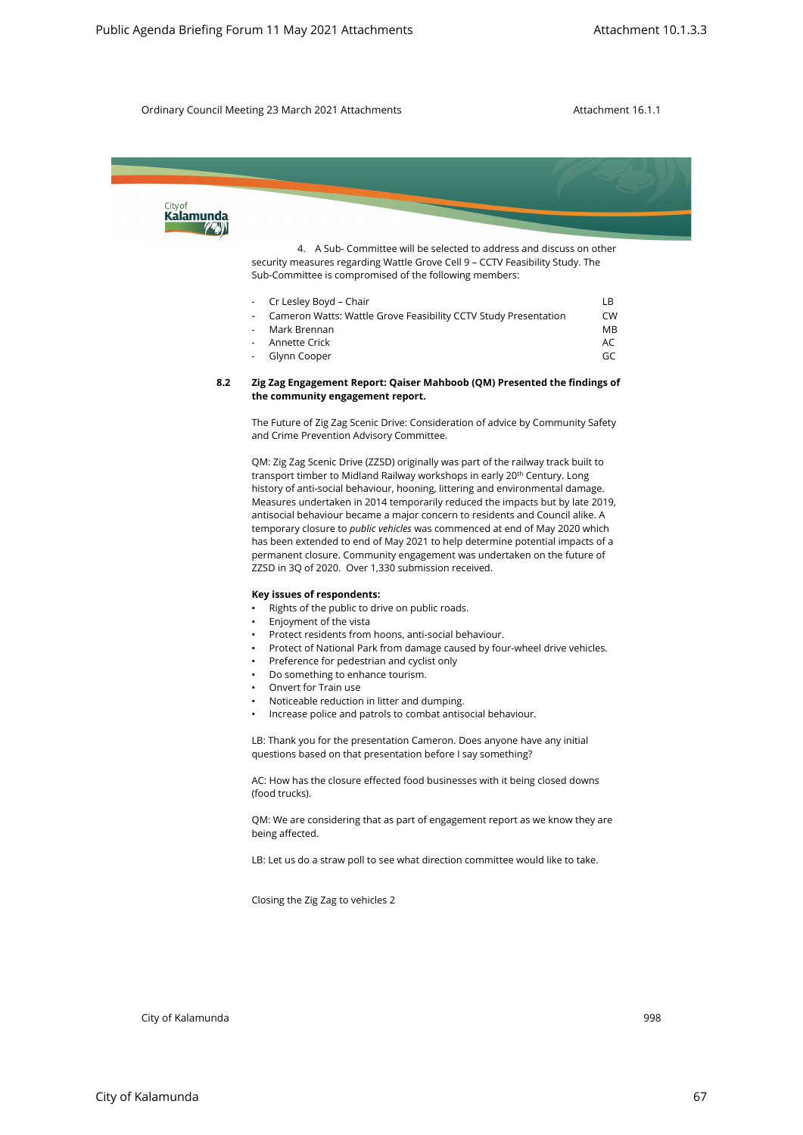

|  | $\sim$ C Lesiev Dovu – Chair                                    | .   |
|--|-----------------------------------------------------------------|-----|
|  | Cameron Watts: Wattle Grove Feasibility CCTV Study Presentation | CW. |
|  | - Mark Brennan                                                  | MB. |
|  | - Annette Crick                                                 | AC  |
|  | - Glynn Cooper                                                  | GC  |

#### **8.2 Zig Zag Engagement Report: Qaiser Mahboob (QM) Presented the findings of the community engagement report.**

The Future of Zig Zag Scenic Drive: Consideration of advice by Community Safety and Crime Prevention Advisory Committee.

QM: Zig Zag Scenic Drive (ZZSD) originally was part of the railway track built to transport timber to Midland Railway workshops in early 20<sup>th</sup> Century. Long history of anti-social behaviour, hooning, littering and environmental damage. Measures undertaken in 2014 temporarily reduced the impacts but by late 2019, antisocial behaviour became a major concern to residents and Council alike. A temporary closure to *public vehicles* was commenced at end of May 2020 which has been extended to end of May 2021 to help determine potential impacts of a permanent closure. Community engagement was undertaken on the future of ZZSD in 3Q of 2020. Over 1,330 submission received.

#### **Key issues of respondents:**

- Rights of the public to drive on public roads.
- Enjoyment of the vista
- Protect residents from hoons, anti-social behaviour.
- Protect of National Park from damage caused by four-wheel drive vehicles.
- Preference for pedestrian and cyclist only
- Do something to enhance tourism.
- Onvert for Train use
- Noticeable reduction in litter and dumping.
- Increase police and patrols to combat antisocial behaviour.

LB: Thank you for the presentation Cameron. Does anyone have any initial questions based on that presentation before I say something?

AC: How has the closure effected food businesses with it being closed downs (food trucks).

QM: We are considering that as part of engagement report as we know they are being affected.

LB: Let us do a straw poll to see what direction committee would like to take.

Closing the Zig Zag to vehicles 2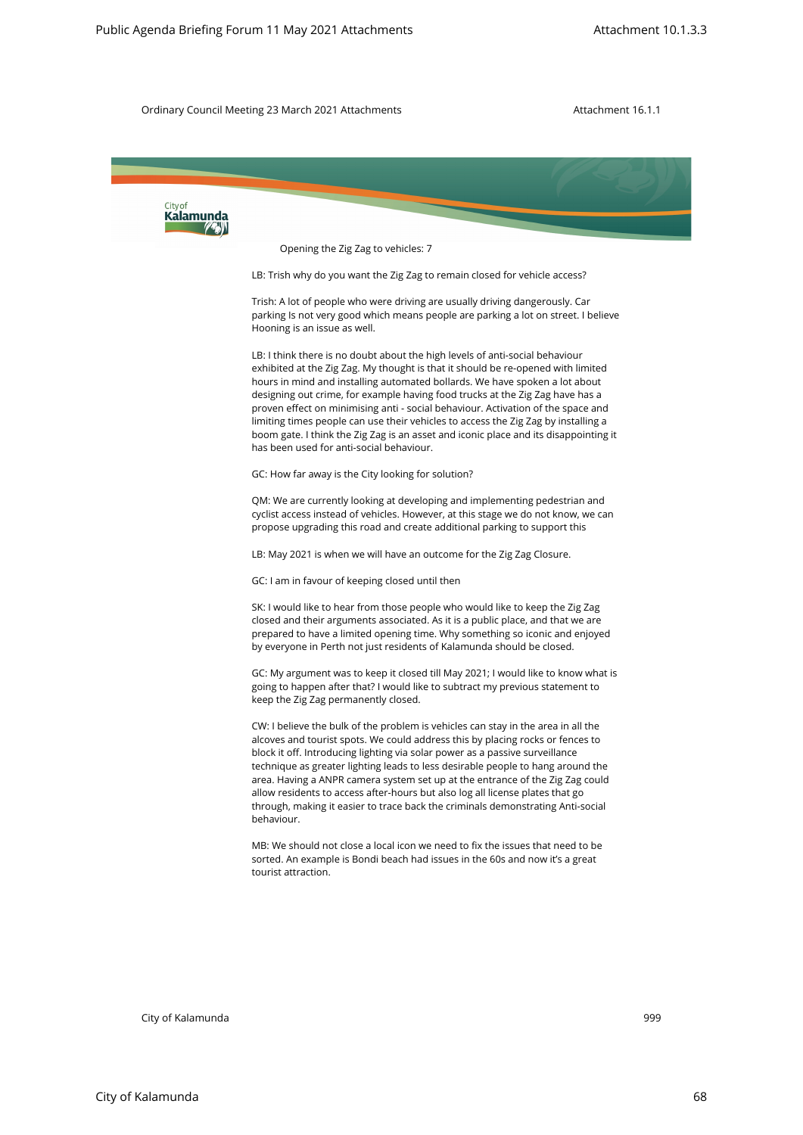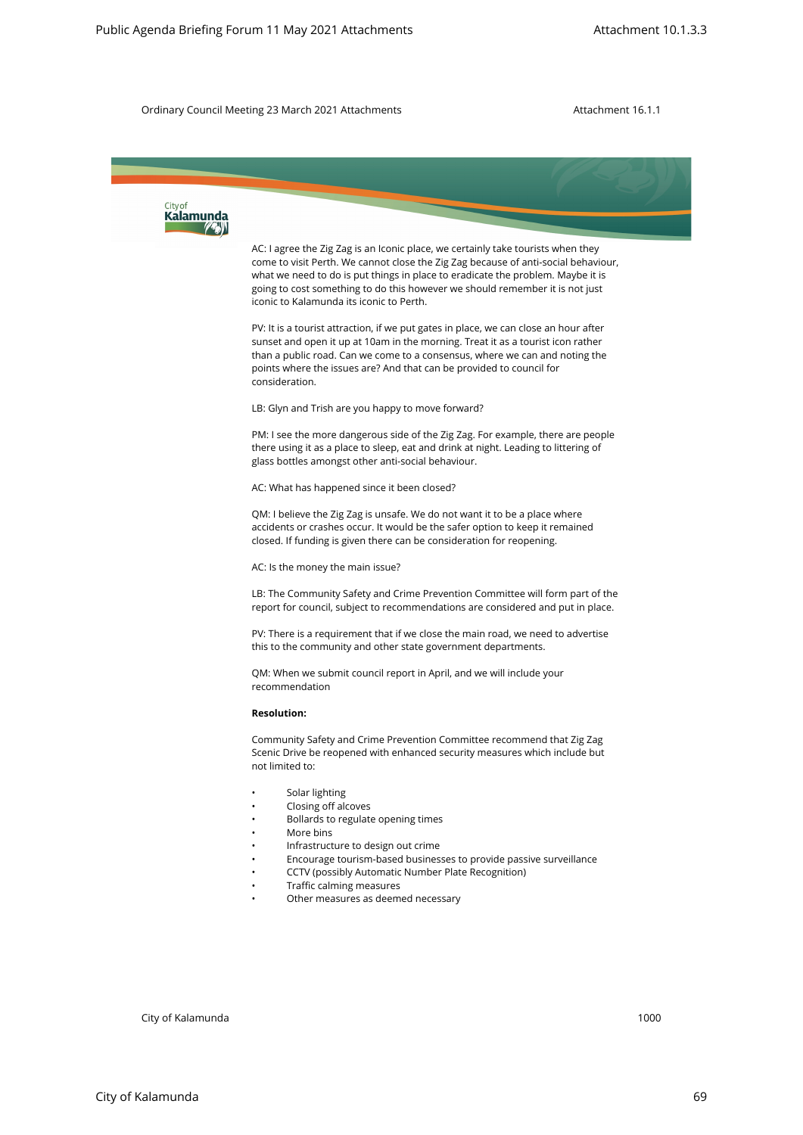